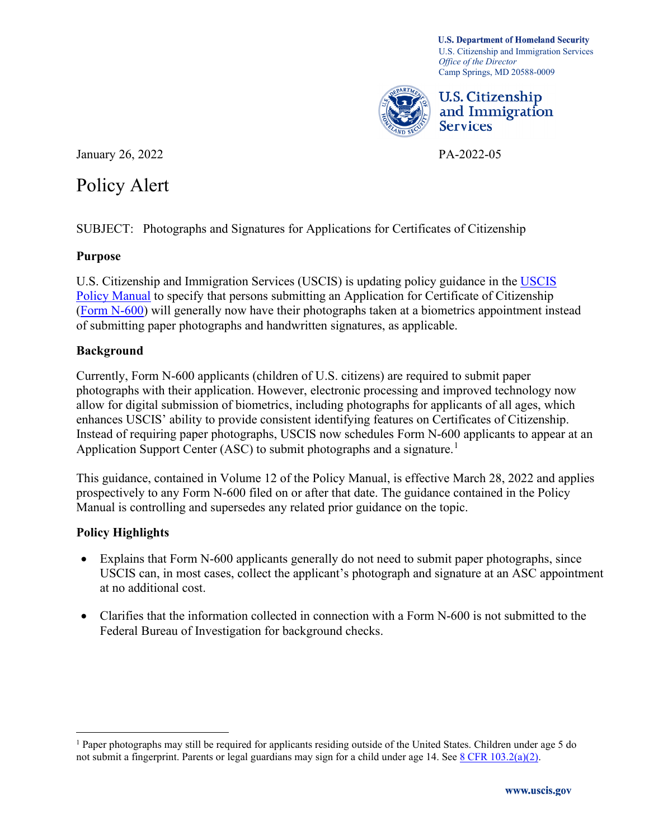Camp Springs, MD 20588-0009 **U.S. Department of Homeland Security**  U.S. Citizenship and Immigration Services *Office of the Director* 



U.S. Citizenship and Immigration Services

January 26, 2022 PA-2022-05

# Policy Alert

Policy Alert<br>SUBJECT: Photographs and Signatures for Applications for Certificates of Citizenship

# **Purpose**

U.S. Citizenship and Immigration Services (USCIS) is updating policy guidance in the [USCIS](https://www.uscis.gov/policy-manual/)  [Policy Manual](https://www.uscis.gov/policy-manual/) to specify that persons submitting an Application for Certificate of Citizenship [\(Form N-600\)](https://www.uscis.gov/n-600) will generally now have their photographs taken at a biometrics appointment instead of submitting paper photographs and handwritten signatures, as applicable.

### **Background**

Application Support Center (ASC) to submit photographs and a signature.<sup>1</sup> Currently, Form N-600 applicants (children of U.S. citizens) are required to submit paper photographs with their application. However, electronic processing and improved technology now allow for digital submission of biometrics, including photographs for applicants of all ages, which enhances USCIS' ability to provide consistent identifying features on Certificates of Citizenship. Instead of requiring paper photographs, USCIS now schedules Form N-600 applicants to appear at an

This guidance, contained in Volume 12 of the Policy Manual, is effective March 28, 2022 and applies prospectively to any Form N-600 filed on or after that date. The guidance contained in the Policy Manual is controlling and supersedes any related prior guidance on the topic.

# **Policy Highlights**

- Explains that Form N-600 applicants generally do not need to submit paper photographs, since USCIS can, in most cases, collect the applicant's photograph and signature at an ASC appointment at no additional cost.
- Clarifies that the information collected in connection with a Form N-600 is not submitted to the Federal Bureau of Investigation for background checks.

<span id="page-0-0"></span> $1$  Paper photographs may still be required for applicants residing outside of the United States. Children under age 5 do not submit a fingerprint. Parents or legal guardians may sign for a child under age 14. See  $8$  CFR 103.2(a)(2).